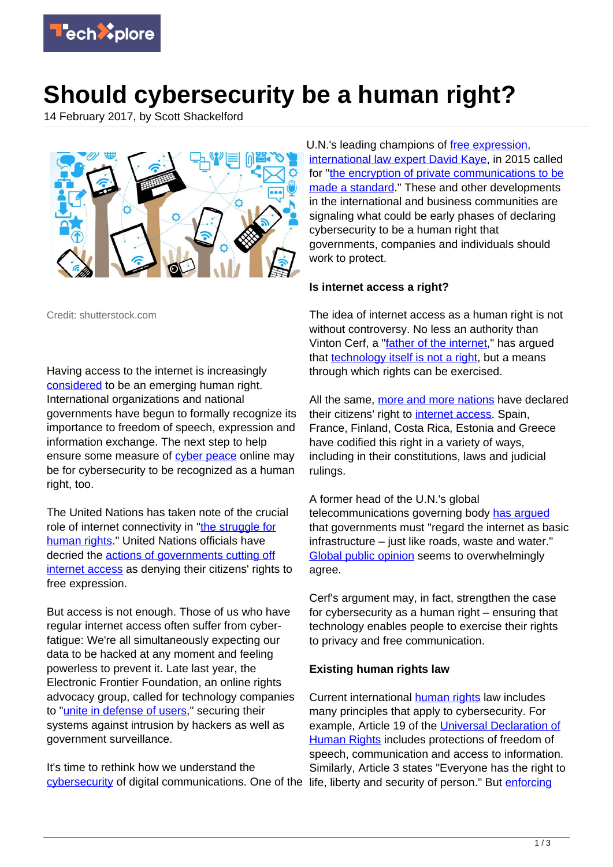

## **Should cybersecurity be a human right?**

14 February 2017, by Scott Shackelford



Credit: shutterstock.com

Having access to the internet is increasingly [considered](https://www.internetsociety.org/sites/default/files/GIUS2012-GlobalData-Table-20121120_0.pdf) to be an emerging human right. International organizations and national governments have begun to formally recognize its importance to freedom of speech, expression and information exchange. The next step to help ensure some measure of [cyber peace](http://cyberlaw.stanford.edu/publications/law-cyber-peace) online may be for cybersecurity to be recognized as a human right, too.

The United Nations has taken note of the crucial role of internet connectivity in "[the struggle for](https://www.itu.int/dms_pub/itu-s/opb/gen/S-GEN-WFS.01-1-2011-PDF-E.pdf) [human rights.](https://www.itu.int/dms_pub/itu-s/opb/gen/S-GEN-WFS.01-1-2011-PDF-E.pdf)" United Nations officials have decried the [actions of governments cutting off](http://www.ohchr.org/EN/NewsEvents/Pages/DisplayNews.aspx?NewsID=21165&LangID=E) [internet access](http://www.ohchr.org/EN/NewsEvents/Pages/DisplayNews.aspx?NewsID=21165&LangID=E) as denying their citizens' rights to free expression.

But access is not enough. Those of us who have regular internet access often suffer from cyberfatigue: We're all simultaneously expecting our data to be hacked at any moment and feeling powerless to prevent it. Late last year, the Electronic Frontier Foundation, an online rights advocacy group, called for technology companies to ["unite in defense of users](https://supporters.eff.org/donate/eff-wired)," securing their systems against intrusion by hackers as well as government surveillance.

It's time to rethink how we understand the [cybersecurity](https://techxplore.com/tags/cybersecurity/) of digital communications. One of the life, liberty and security of person." But *[enforcing](http://digitalcommons.law.yale.edu/cgi/viewcontent.cgi?article=1852&context=fss_papers)* 

U.N.'s leading champions of [free expression](https://techxplore.com/tags/free+expression/), [international law expert David Kaye,](http://www.ohchr.org/EN/Issues/FreedomOpinion/Pages/DavidKaye.aspx) in 2015 called for ["the encryption of private communications to be](https://www.swp-berlin.org/fileadmin/contents/products/research_papers/2016RP07_bdk.pdf) [made a standard](https://www.swp-berlin.org/fileadmin/contents/products/research_papers/2016RP07_bdk.pdf)." These and other developments in the international and business communities are signaling what could be early phases of declaring cybersecurity to be a human right that governments, companies and individuals should work to protect.

## **Is internet access a right?**

The idea of internet access as a human right is not without controversy. No less an authority than Vinton Cerf, a "[father of the internet](http://internethalloffame.org/inductees/vint-cerf)," has argued that [technology itself is not a right,](http://www.nytimes.com/2012/01/05/opinion/internet-access-is-not-a-human-right.html) but a means through which rights can be exercised.

All the same, [more and more nations](http://foreignpolicy.com/2015/02/02/unrestricted-internet-access-human-rights-technology-constitution/) have declared their citizens' right to [internet access](https://techxplore.com/tags/internet+access/). Spain, France, Finland, Costa Rica, Estonia and Greece have codified this right in a variety of ways, including in their constitutions, laws and judicial rulings.

A former head of the U.N.'s global telecommunications governing body [has argued](http://news.bbc.co.uk/2/hi/technology/8548190.stm) that governments must "regard the internet as basic infrastructure – just like roads, waste and water." **Global public opinion** seems to overwhelmingly agree.

Cerf's argument may, in fact, strengthen the case for cybersecurity as a human right – ensuring that technology enables people to exercise their rights to privacy and free communication.

## **Existing human rights law**

Current international [human rights](https://techxplore.com/tags/human+rights/) law includes many principles that apply to cybersecurity. For example, Article 19 of the [Universal Declaration of](http://www.un.org/en/universal-declaration-human-rights/) [Human Rights](http://www.un.org/en/universal-declaration-human-rights/) includes protections of freedom of speech, communication and access to information. Similarly, Article 3 states "Everyone has the right to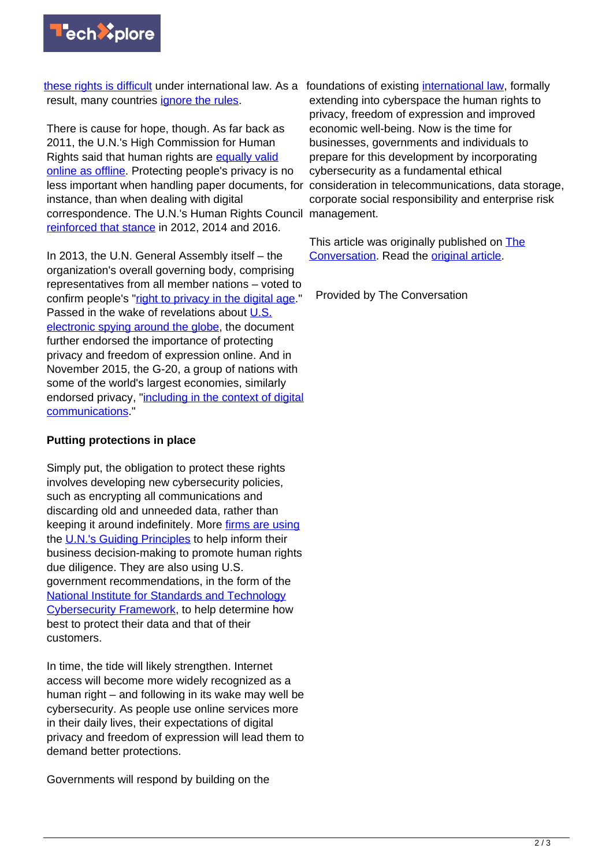

[these rights is difficult](http://digitalcommons.law.yale.edu/cgi/viewcontent.cgi?article=1852&context=fss_papers) under international law. As a foundations of existing [international law,](https://techxplore.com/tags/international+law/) formally result, many countries [ignore the rules.](http://map.opennet.net/)

There is cause for hope, though. As far back as 2011, the U.N.'s High Commission for Human Rights said that human rights are [equally valid](http://www.ohchr.org/Documents/Publications/GuidingPrinciplesBusinessHR_EN.pdf) [online as offline.](http://www.ohchr.org/Documents/Publications/GuidingPrinciplesBusinessHR_EN.pdf) Protecting people's privacy is no less important when handling paper documents, for instance, than when dealing with digital correspondence. The U.N.'s Human Rights Council management. [reinforced that stance](http://www.osce.org/fom/250656) in 2012, 2014 and 2016.

In 2013, the U.N. General Assembly itself – the organization's overall governing body, comprising representatives from all member nations – voted to confirm people's ["right to privacy in the digital age.](http://www.un.org/ga/search/view_doc.asp?symbol=A/RES/68/167)" Passed in the wake of revelations about [U.S.](https://www.theguardian.com/us-news/the-nsa-files) [electronic spying around the globe,](https://www.theguardian.com/us-news/the-nsa-files) the document further endorsed the importance of protecting privacy and freedom of expression online. And in November 2015, the G-20, a group of nations with some of the world's largest economies, similarly endorsed privacy, ["including in the context of digital](https://www.g20.org/Content/DE/_Anlagen/G7_G20/2015-g20-abschlusserklaerung-eng.pdf?__blob=publicationFile&v=3) [communications.](https://www.g20.org/Content/DE/_Anlagen/G7_G20/2015-g20-abschlusserklaerung-eng.pdf?__blob=publicationFile&v=3)"

## **Putting protections in place**

Simply put, the obligation to protect these rights involves developing new cybersecurity policies, such as encrypting all communications and discarding old and unneeded data, rather than keeping it around indefinitely. More [firms are using](https://business-humanrights.org/sites/default/files/media/documents/applications-of-framework-jun-2011.pdf) the [U.N.'s Guiding Principles](http://www.ohchr.org/Documents/Publications/GuidingPrinciplesBusinessHR_EN.pdf) to help inform their business decision-making to promote human rights due diligence. They are also using U.S. government recommendations, in the form of the [National Institute for Standards and Technology](https://www.nist.gov/cyberframework) [Cybersecurity Framework,](https://www.nist.gov/cyberframework) to help determine how best to protect their data and that of their customers.

In time, the tide will likely strengthen. Internet access will become more widely recognized as a human right – and following in its wake may well be cybersecurity. As people use online services more in their daily lives, their expectations of digital privacy and freedom of expression will lead them to demand better protections.

Governments will respond by building on the

extending into cyberspace the human rights to privacy, freedom of expression and improved economic well-being. Now is the time for businesses, governments and individuals to prepare for this development by incorporating cybersecurity as a fundamental ethical consideration in telecommunications, data storage, corporate social responsibility and enterprise risk

This article was originally published on [The](http://theconversation.com) [Conversation](http://theconversation.com). Read the [original article.](https://theconversation.com/should-cybersecurity-be-a-human-right-72342)

Provided by The Conversation